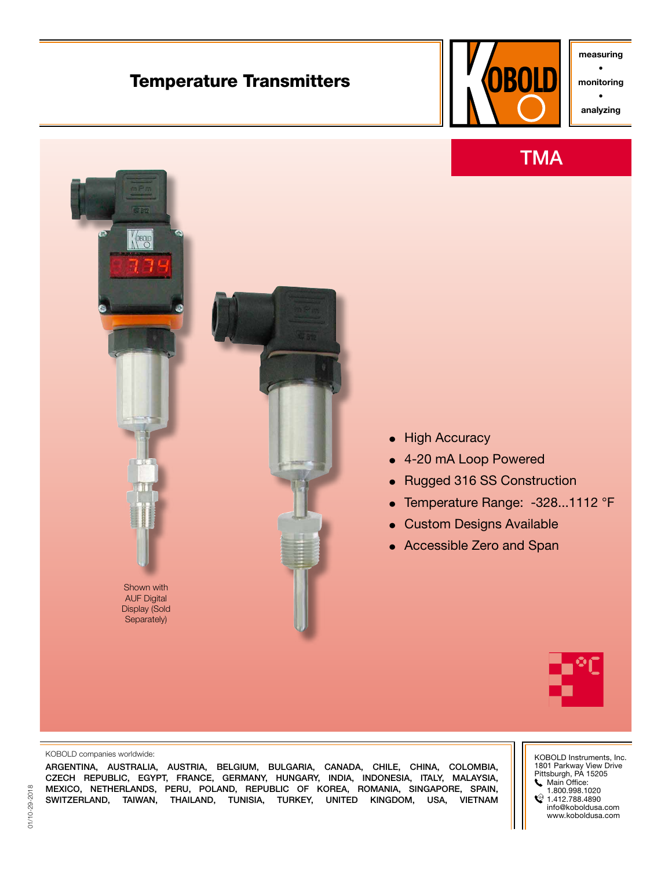# Temperature Transmitters



measuring • monitoring

• analyzing





## **•** High Accuracy

- **•** 4-20 mA Loop Powered
- **•** Rugged 316 SS Construction
- **•** Temperature Range: -328...1112 °F
- **•** Custom Designs Available
- **•** Accessible Zero and Span



#### KOBOLD companies worldwide:

ARGENTINA, AUSTRALIA, AUSTRIA, BELGIUM, BULGARIA, CANADA, CHILE, CHINA, COLOMBIA, CZECH REPUBLIC, EGYPT, FRANCE, GERMANY, HUNGARY, INDIA, INDONESIA, ITALY, MALAYSIA, MEXICO, NETHERLANDS, PERU, POLAND, REPUBLIC OF KOREA, ROMANIA, SINGAPORE, SPAIN, SWITZERLAND, TAIWAN, THAILAND, TUNISIA, TURKEY, UNITED KINGDOM, USA, VIETNAM KOBOLD Instruments, Inc. 1801 Parkway View Drive Pittsburgh, PA 15205 Main Office: 1.800.998.1020  $\textcircled{1.412.788.4890}$ info@koboldusa.com www.koboldusa.com